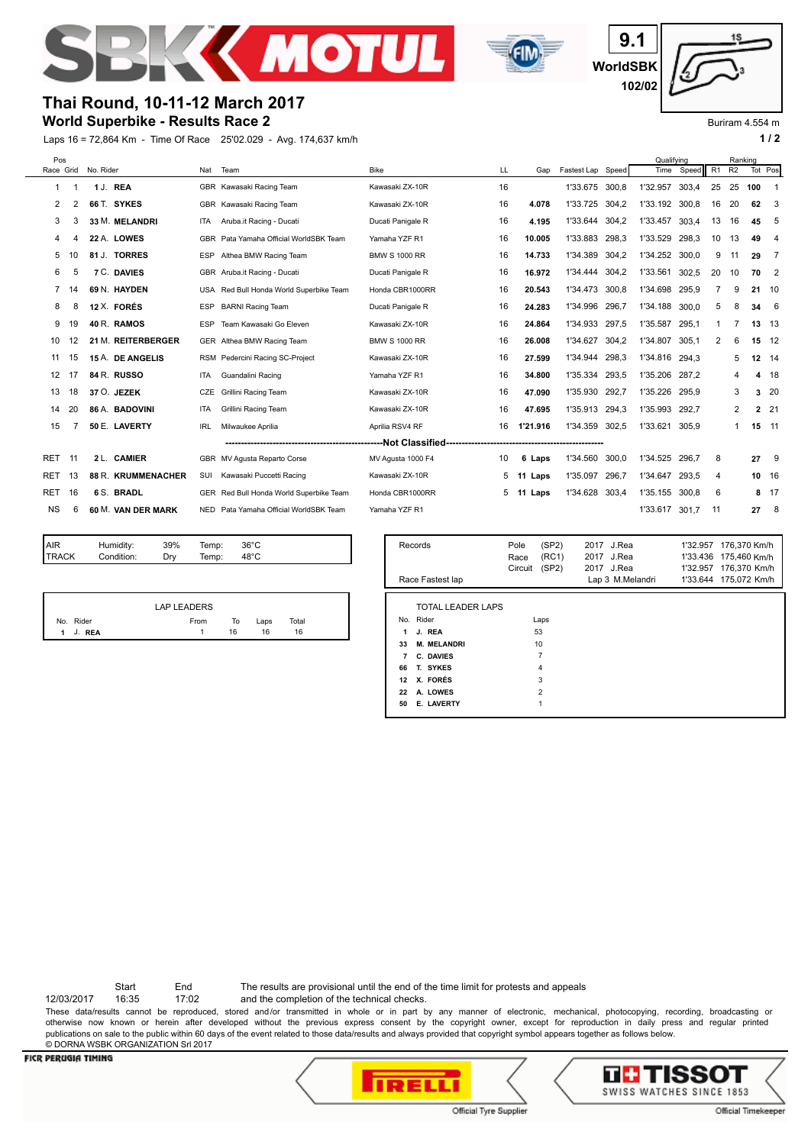



**WorldSBK 9.1 102/02**

Buriram 4.554 m

# **Thai Round, 10-11-12 March 2017**

## **World Superbike - Results Race 2**

Laps 16 = 72,864 Km - Time Of Race 25'02.029 - Avg. 174,637 km/h **1 and 2 1 and 2 1 and 2 1 a 1 a 1 a 1 a 1 a 1 a 1 a 1 a 1 a 1 a 1 a 1 a 1 a 1 a 1 a 1 a 1 a 1 a 1 a 1 a 1 a**

| Pos            |     |           |                    |            |                                         |                      |    |                |                   |                        | Qualifving |          |                | Ranking        |         |                            |
|----------------|-----|-----------|--------------------|------------|-----------------------------------------|----------------------|----|----------------|-------------------|------------------------|------------|----------|----------------|----------------|---------|----------------------------|
| Race Grid      |     | No. Rider |                    | Nat        | Team                                    | <b>Bike</b>          | LL | Gap            | Fastest Lap Speed |                        | Time       | Speed    | R <sub>1</sub> | R <sub>2</sub> | Tot Pos |                            |
| 1              |     |           | 1 J. REA           |            | GBR Kawasaki Racing Team                | Kawasaki ZX-10R      | 16 |                | 1'33.675 300,8    |                        | 1'32.957   | 303.4    | 25             | 25             | 100     | -1                         |
| 2              | 2   |           | 66 T. SYKES        |            | GBR Kawasaki Racing Team                | Kawasaki ZX-10R      | 16 | 4.078          | 1'33.725          | 304.2                  | 1'33.192   | 300.8    | 16             | 20             | 62      | -3                         |
| 3              | 3   |           | 33 M. MELANDRI     | <b>ITA</b> | Aruba.it Racing - Ducati                | Ducati Panigale R    | 16 | 4.195          | 1'33.644          | 304,2                  | 1'33.457   | 303.4    | 13             | 16             | 45      | - 5                        |
| 4              |     |           | 22 A. LOWES        |            | GBR Pata Yamaha Official WorldSBK Team  | Yamaha YZF R1        | 16 | 10.005         | 1'33.883          | 298,3                  | 1'33.529   | 298.3    | 10             | 13             | 49      | 4                          |
| 5              |     |           | 81 J. TORRES       | ESP        | Althea BMW Racing Team                  | <b>BMW S 1000 RR</b> | 16 | 14.733         | 1'34.389          | 304,2                  | 1'34.252   | 300,0    | 9              | 11             | 29      | - 7                        |
| 6              | 5   |           | <b>7 C. DAVIES</b> |            | GBR Aruba.it Racing - Ducati            | Ducati Panigale R    | 16 | 16.972         | 1'34.444 304,2    |                        | 1'33.561   | 302,5    | 20             | 10             | 70      | $\overline{\phantom{0}}^2$ |
| 7              |     |           | 69 N. HAYDEN       |            | USA Red Bull Honda World Superbike Team | Honda CBR1000RR      | 16 | 20.543         | 1'34.473          | 300,8                  | 1'34.698   | 295,9    |                | 9              | 21      | 10                         |
| 8              | 8   |           | 12 X. FORÉS        | <b>ESP</b> | <b>BARNI Racing Team</b>                | Ducati Panigale R    | 16 | 24.283         | 1'34.996          | 296,7                  | 1'34.188   | 300,0    | 5              | 8              | 34      | - 6                        |
| 9              | 19  |           | 40 R. RAMOS        | <b>ESP</b> | Team Kawasaki Go Eleven                 | Kawasaki ZX-10R      | 16 | 24.864         | 1'34.933          | 297,5                  | 1'35.587   | 295.1    | 1              |                | 13 13   |                            |
| 10             | 12  |           | 21 M. REITERBERGER |            | GER Althea BMW Racing Team              | <b>BMW S 1000 RR</b> | 16 | 26.008         | 1'34.627          | 304,2                  | 1'34.807   | 305.1    | 2              | 6              | 15 12   |                            |
| 11             | 15  |           | 15 A. DE ANGELIS   | RSM        | Pedercini Racing SC-Project             | Kawasaki ZX-10R      | 16 | 27.599         | 1'34.944          | 298,3                  | 1'34.816   | 294.3    |                | 5              | 12 14   |                            |
| 12             | 17  |           | 84 R. RUSSO        | <b>ITA</b> | Guandalini Racing                       | Yamaha YZF R1        | 16 | 34.800         | 1'35.334          | 293,5                  | 1'35.206   | 287.2    |                | 4              | 4       | - 18                       |
| 13             | 18  |           | 37 O. JEZEK        | CZE        | <b>Grillini Racing Team</b>             | Kawasaki ZX-10R      | 16 | 47.090         | 1'35.930          | 292,7                  | 1'35.226   | 295.9    |                | 3              | 3       | 20                         |
| 14             | 20  |           | 86 A. BADOVINI     | <b>ITA</b> | Grillini Racing Team                    | Kawasaki ZX-10R      | 16 | 47.695         | 1'35.913 294,3    |                        | 1'35.993   | 292.7    |                | 2              |         | 2 21                       |
| 15             |     |           | 50 E. LAVERTY      | <b>IRL</b> | Milwaukee Aprilia                       | Aprilia RSV4 RF      | 16 | 1'21.916       | 1'34.359          | 302,5                  | 1'33.621   | 305,9    |                | 1              | 15 11   |                            |
|                |     |           |                    |            |                                         |                      |    |                |                   |                        |            |          |                |                |         |                            |
| RET            | -11 |           | 2 L. CAMIER        |            | GBR MV Agusta Reparto Corse             | MV Agusta 1000 F4    | 10 | 6 Laps         | 1'34.560          | 300,0                  | 1'34.525   | 296.7    | 8              |                | 27      | 9                          |
| RET            | 13  |           | 88 R. KRUMMENACHER | SUI        | Kawasaki Puccetti Racing                | Kawasaki ZX-10R      | 5  | 11 Laps        | 1'35.097          | 296,7                  | 1'34.647   | 293.5    | 4              |                | 10 16   |                            |
| RET            | 16  |           | 6 S. BRADL         |            | GER Red Bull Honda World Superbike Team | Honda CBR1000RR      | 5. | 11 Laps        | 1'34.628 303,4    |                        | 1'35.155   | 300,8    | 6              |                |         | 8 17                       |
| <b>NS</b>      | 6   |           | 60 M. VAN DER MARK |            | NED Pata Yamaha Official WorldSBK Team  | Yamaha YZF R1        |    |                |                   |                        | 1'33.617   | 301,7    | 11             |                | 27      | - 8                        |
|                |     |           |                    |            |                                         |                      |    |                |                   |                        |            |          |                |                |         |                            |
| $\cdot$ $\sim$ |     |           | $\sim$             | $\sim$     | 0.000                                   | -                    |    | $ -$<br>$\sim$ |                   | $\sim\sim\sim\sim\sim$ |            | $\cdots$ |                |                |         |                            |

| <b>AIR</b>   | Humidity:  | 39% | Temp: | $36^{\circ}$ C |  |
|--------------|------------|-----|-------|----------------|--|
| <b>TRACK</b> | Condition: | Drv | Temp: | $48^{\circ}$ C |  |
|              |            |     |       |                |  |
|              |            |     |       |                |  |

|           | <b>LAP LEADERS</b> |    |      |       |  |
|-----------|--------------------|----|------|-------|--|
| No. Rider | From               | To | Laps | Total |  |
| 1 J. REA  |                    | 16 | 16   | 16    |  |

| Records<br>Race Fastest lap                                                                                                                                                         | (SP2)<br>Pole<br>(RC1)<br>Race<br>(SP2)<br>Circuit     | 2017 J.Rea<br>J.Rea<br>2017<br>J.Rea<br>2017<br>Lap 3 M.Melandri | 176,370 Km/h<br>1'32.957<br>175.460 Km/h<br>1'33.436<br>1'32.957<br>176,370 Km/h<br>1'33.644 175.072 Km/h |
|-------------------------------------------------------------------------------------------------------------------------------------------------------------------------------------|--------------------------------------------------------|------------------------------------------------------------------|-----------------------------------------------------------------------------------------------------------|
| <b>TOTAL LEADER LAPS</b><br>No. Rider<br>J. REA<br>1<br><b>M. MELANDRI</b><br>33<br>C. DAVIES<br>7<br>T. SYKES<br>66<br>X. FORÉS<br>12<br>A. LOWES<br>22<br><b>E. LAVERTY</b><br>50 | Laps<br>53<br>10<br>7<br>4<br>3<br>$\overline{2}$<br>1 |                                                                  |                                                                                                           |

Start End The results are provisional until the end of the time limit for protests and appeals

12/03/2017 16:35 17:02 and the completion of the technical checks. These data/results cannot be reproduced, stored and/or transmitted in whole or in part by any manner of electronic, mechanical, photocopying, recording, broadcasting or otherwise now known or herein after developed without the previous express consent by the copyright owner, except for reproduction in daily press and regular printed

### publications on sale to the public within 60 days of the event related to those data/results and always provided that copyright symbol appears together as follows below. © DORNA WSBK ORGANIZATION Srl 2017

#### **FICR PERUGIA TIMING**